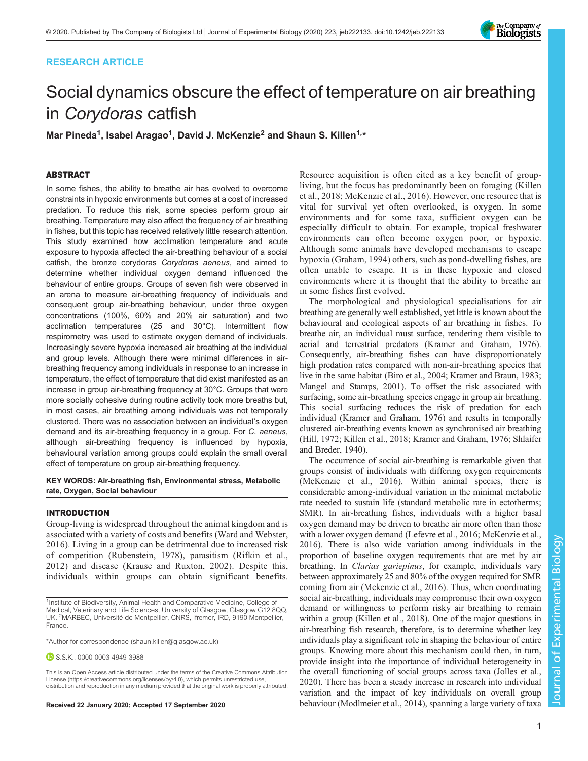# RESEARCH ARTICLE

# Social dynamics obscure the effect of temperature on air breathing in Corydoras catfish

Mar Pineda<sup>1</sup>, Isabel Aragao<sup>1</sup>, David J. McKenzie<sup>2</sup> and Shaun S. Killen<sup>1,</sup>\*

# ABSTRACT

In some fishes, the ability to breathe air has evolved to overcome constraints in hypoxic environments but comes at a cost of increased predation. To reduce this risk, some species perform group air breathing. Temperature may also affect the frequency of air breathing in fishes, but this topic has received relatively little research attention. This study examined how acclimation temperature and acute exposure to hypoxia affected the air-breathing behaviour of a social catfish, the bronze corydoras Corydoras aeneus, and aimed to determine whether individual oxygen demand influenced the behaviour of entire groups. Groups of seven fish were observed in an arena to measure air-breathing frequency of individuals and consequent group air-breathing behaviour, under three oxygen concentrations (100%, 60% and 20% air saturation) and two acclimation temperatures (25 and 30°C). Intermittent flow respirometry was used to estimate oxygen demand of individuals. Increasingly severe hypoxia increased air breathing at the individual and group levels. Although there were minimal differences in airbreathing frequency among individuals in response to an increase in temperature, the effect of temperature that did exist manifested as an increase in group air-breathing frequency at 30°C. Groups that were more socially cohesive during routine activity took more breaths but, in most cases, air breathing among individuals was not temporally clustered. There was no association between an individual's oxygen demand and its air-breathing frequency in a group. For C. aeneus, although air-breathing frequency is influenced by hypoxia, behavioural variation among groups could explain the small overall effect of temperature on group air-breathing frequency.

## KEY WORDS: Air-breathing fish, Environmental stress, Metabolic rate, Oxygen, Social behaviour

## INTRODUCTION

Group-living is widespread throughout the animal kingdom and is associated with a variety of costs and benefits ([Ward and Webster,](#page-8-0) [2016\)](#page-8-0). Living in a group can be detrimental due to increased risk of competition [\(Rubenstein, 1978](#page-8-0)), parasitism ([Rifkin et al.,](#page-8-0) [2012\)](#page-8-0) and disease ([Krause and Ruxton, 2002](#page-7-0)). Despite this, individuals within groups can obtain significant benefits.

S.S.K., [0000-0003-4949-3988](http://orcid.org/0000-0003-4949-3988)

This is an Open Access article distributed under the terms of the Creative Commons Attribution License (https://creativecommons.org/licenses/by/4.0), which permits unrestricted use, distribution and reproduction in any medium provided that the original work is properly attributed.

Resource acquisition is often cited as a key benefit of groupliving, but the focus has predominantly been on foraging ([Killen](#page-7-0) [et al., 2018](#page-7-0); [McKenzie et al., 2016\)](#page-7-0). However, one resource that is vital for survival yet often overlooked, is oxygen. In some environments and for some taxa, sufficient oxygen can be especially difficult to obtain. For example, tropical freshwater environments can often become oxygen poor, or hypoxic. Although some animals have developed mechanisms to escape hypoxia ([Graham, 1994\)](#page-7-0) others, such as pond-dwelling fishes, are often unable to escape. It is in these hypoxic and closed environments where it is thought that the ability to breathe air in some fishes first evolved.

The morphological and physiological specialisations for air breathing are generally well established, yet little is known about the behavioural and ecological aspects of air breathing in fishes. To breathe air, an individual must surface, rendering them visible to aerial and terrestrial predators [\(Kramer and Graham, 1976\)](#page-7-0). Consequently, air-breathing fishes can have disproportionately high predation rates compared with non-air-breathing species that live in the same habitat ([Biro et al., 2004; Kramer and Braun, 1983](#page-7-0); [Mangel and Stamps, 2001\)](#page-7-0). To offset the risk associated with surfacing, some air-breathing species engage in group air breathing. This social surfacing reduces the risk of predation for each individual ([Kramer and Graham, 1976\)](#page-7-0) and results in temporally clustered air-breathing events known as synchronised air breathing [\(Hill, 1972](#page-7-0); [Killen et al., 2018](#page-7-0); [Kramer and Graham, 1976;](#page-7-0) [Shlaifer](#page-8-0) [and Breder, 1940\)](#page-8-0).

The occurrence of social air-breathing is remarkable given that groups consist of individuals with differing oxygen requirements [\(McKenzie et al., 2016](#page-7-0)). Within animal species, there is considerable among-individual variation in the minimal metabolic rate needed to sustain life (standard metabolic rate in ectotherms; SMR). In air-breathing fishes, individuals with a higher basal oxygen demand may be driven to breathe air more often than those with a lower oxygen demand [\(Lefevre et al., 2016; McKenzie et al.,](#page-7-0) [2016\)](#page-7-0). There is also wide variation among individuals in the proportion of baseline oxygen requirements that are met by air breathing. In Clarias gariepinus, for example, individuals vary between approximately 25 and 80% of the oxygen required for SMR coming from air [\(Mckenzie et al., 2016](#page-7-0)). Thus, when coordinating social air-breathing, individuals may compromise their own oxygen demand or willingness to perform risky air breathing to remain within a group [\(Killen et al., 2018](#page-7-0)). One of the major questions in air-breathing fish research, therefore, is to determine whether key individuals play a significant role in shaping the behaviour of entire groups. Knowing more about this mechanism could then, in turn, provide insight into the importance of individual heterogeneity in the overall functioning of social groups across taxa [\(Jolles et al.,](#page-7-0) [2020\)](#page-7-0). There has been a steady increase in research into individual variation and the impact of key individuals on overall group Received 22 January 2020; Accepted 17 September 2020 behaviour ([Modlmeier et al., 2014\)](#page-7-0), spanning a large variety of taxa

Journal of Experimental Biology

 $\overline{\circ}$ 

Journal

**Experimental** 

Biology



<sup>&</sup>lt;sup>1</sup>Institute of Biodiversity, Animal Health and Comparative Medicine, College of Medical, Veterinary and Life Sciences, University of Glasgow, Glasgow G12 8QQ, UK. <sup>2</sup>MARBEC, Université de Montpellier, CNRS, Ifremer, IRD, 9190 Montpellier, France.

<sup>\*</sup>Author for correspondence [\(shaun.killen@glasgow.ac.uk](mailto:shaun.killen@glasgow.ac.uk))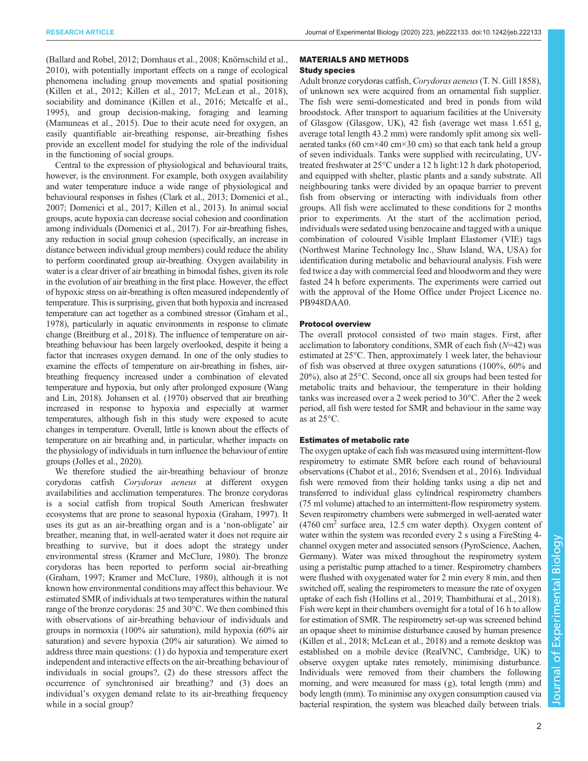[\(Ballard and Robel, 2012](#page-7-0); [Dornhaus et al., 2008; Knörnschild et al.,](#page-7-0) [2010](#page-7-0)), with potentially important effects on a range of ecological phenomena including group movements and spatial positioning [\(Killen et al., 2012; Killen et al., 2017; McLean et al., 2018\)](#page-7-0), sociability and dominance [\(Killen et al., 2016; Metcalfe et al.,](#page-7-0) [1995](#page-7-0)), and group decision-making, foraging and learning [\(Mamuneas et al., 2015\)](#page-7-0). Due to their acute need for oxygen, an easily quantifiable air-breathing response, air-breathing fishes provide an excellent model for studying the role of the individual in the functioning of social groups.

Central to the expression of physiological and behavioural traits, however, is the environment. For example, both oxygen availability and water temperature induce a wide range of physiological and behavioural responses in fishes ([Clark et al., 2013; Domenici et al.,](#page-7-0) [2007; Domenici et al., 2017](#page-7-0); [Killen et al., 2013\)](#page-7-0). In animal social groups, acute hypoxia can decrease social cohesion and coordination among individuals ([Domenici et al., 2017\)](#page-7-0). For air-breathing fishes, any reduction in social group cohesion (specifically, an increase in distance between individual group members) could reduce the ability to perform coordinated group air-breathing. Oxygen availability in water is a clear driver of air breathing in bimodal fishes, given its role in the evolution of air breathing in the first place. However, the effect of hypoxic stress on air-breathing is often measured independently of temperature. This is surprising, given that both hypoxia and increased temperature can act together as a combined stressor (Graham et al., 1978), particularly in aquatic environments in response to climate change ([Breitburg et al., 2018\)](#page-7-0). The influence of temperature on airbreathing behaviour has been largely overlooked, despite it being a factor that increases oxygen demand. In one of the only studies to examine the effects of temperature on air-breathing in fishes, airbreathing frequency increased under a combination of elevated temperature and hypoxia, but only after prolonged exposure [\(Wang](#page-8-0) [and Lin, 2018](#page-8-0)). [Johansen et al. \(1970\)](#page-7-0) observed that air breathing increased in response to hypoxia and especially at warmer temperatures, although fish in this study were exposed to acute changes in temperature. Overall, little is known about the effects of temperature on air breathing and, in particular, whether impacts on the physiology of individuals in turn influence the behaviour of entire groups ([Jolles et al., 2020\)](#page-7-0).

We therefore studied the air-breathing behaviour of bronze corydoras catfish Corydoras aeneus at different oxygen availabilities and acclimation temperatures. The bronze corydoras is a social catfish from tropical South American freshwater ecosystems that are prone to seasonal hypoxia [\(Graham, 1997\)](#page-7-0). It uses its gut as an air-breathing organ and is a 'non-obligate' air breather, meaning that, in well-aerated water it does not require air breathing to survive, but it does adopt the strategy under environmental stress ([Kramer and McClure, 1980](#page-7-0)). The bronze corydoras has been reported to perform social air-breathing [\(Graham, 1997; Kramer and McClure, 1980\)](#page-7-0), although it is not known how environmental conditions may affect this behaviour. We estimated SMR of individuals at two temperatures within the natural range of the bronze corydoras: 25 and 30°C. We then combined this with observations of air-breathing behaviour of individuals and groups in normoxia (100% air saturation), mild hypoxia (60% air saturation) and severe hypoxia (20% air saturation). We aimed to address three main questions: (1) do hypoxia and temperature exert independent and interactive effects on the air-breathing behaviour of individuals in social groups?, (2) do these stressors affect the occurrence of synchronised air breathing? and (3) does an individual's oxygen demand relate to its air-breathing frequency while in a social group?

## MATERIALS AND METHODS

## Study species

Adult bronze corydoras catfish, Corydoras aeneus(T. N. Gill 1858), of unknown sex were acquired from an ornamental fish supplier. The fish were semi-domesticated and bred in ponds from wild broodstock. After transport to aquarium facilities at the University of Glasgow (Glasgow, UK), 42 fish (average wet mass 1.651 g, average total length 43.2 mm) were randomly split among six wellaerated tanks (60 cm $\times$ 40 cm $\times$ 30 cm) so that each tank held a group of seven individuals. Tanks were supplied with recirculating, UVtreated freshwater at 25°C under a 12 h light:12 h dark photoperiod, and equipped with shelter, plastic plants and a sandy substrate. All neighbouring tanks were divided by an opaque barrier to prevent fish from observing or interacting with individuals from other groups. All fish were acclimated to these conditions for 2 months prior to experiments. At the start of the acclimation period, individuals were sedated using benzocaine and tagged with a unique combination of coloured Visible Implant Elastomer (VIE) tags (Northwest Marine Technology Inc., Shaw Island, WA, USA) for identification during metabolic and behavioural analysis. Fish were fed twice a day with commercial feed and bloodworm and they were fasted 24 h before experiments. The experiments were carried out with the approval of the Home Office under Project Licence no. PB948DAA0.

## Protocol overview

The overall protocol consisted of two main stages. First, after acclimation to laboratory conditions, SMR of each fish  $(N=42)$  was estimated at 25°C. Then, approximately 1 week later, the behaviour of fish was observed at three oxygen saturations (100%, 60% and 20%), also at 25°C. Second, once all six groups had been tested for metabolic traits and behaviour, the temperature in their holding tanks was increased over a 2 week period to 30°C. After the 2 week period, all fish were tested for SMR and behaviour in the same way as at 25°C.

## Estimates of metabolic rate

The oxygen uptake of each fish was measured using intermittent-flow respirometry to estimate SMR before each round of behavioural observations ([Chabot et al., 2016](#page-7-0); [Svendsen et al., 2016](#page-8-0)). Individual fish were removed from their holding tanks using a dip net and transferred to individual glass cylindrical respirometry chambers (75 ml volume) attached to an intermittent-flow respirometry system. Seven respirometry chambers were submerged in well-aerated water  $(4760 \text{ cm}^2 \text{ surface area}, 12.5 \text{ cm water depth})$ . Oxygen content of water within the system was recorded every 2 s using a FireSting 4 channel oxygen meter and associated sensors (PyroScience, Aachen, Germany). Water was mixed throughout the respirometry system using a peristaltic pump attached to a timer. Respirometry chambers were flushed with oxygenated water for 2 min every 8 min, and then switched off, sealing the respirometers to measure the rate of oxygen uptake of each fish [\(Hollins et al., 2019](#page-7-0); [Thambithurai et al., 2018\)](#page-8-0). Fish were kept in their chambers overnight for a total of 16 h to allow for estimation of SMR. The respirometry set-up was screened behind an opaque sheet to minimise disturbance caused by human presence [\(Killen et al., 2018](#page-7-0); [McLean et al., 2018](#page-7-0)) and a remote desktop was established on a mobile device (RealVNC, Cambridge, UK) to observe oxygen uptake rates remotely, minimising disturbance. Individuals were removed from their chambers the following morning, and were measured for mass (g), total length (mm) and body length (mm). To minimise any oxygen consumption caused via bacterial respiration, the system was bleached daily between trials.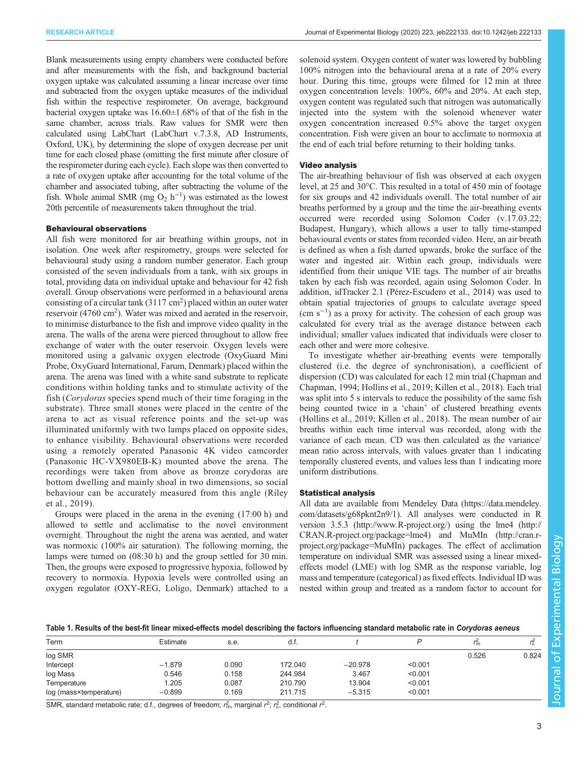<span id="page-2-0"></span>Blank measurements using empty chambers were conducted before and after measurements with the fish, and background bacterial oxygen uptake was calculated assuming a linear increase over time and subtracted from the oxygen uptake measures of the individual fish within the respective respirometer. On average, background bacterial oxygen uptake was 16.60±1.68% of that of the fish in the same chamber, across trials. Raw values for SMR were then calculated using LabChart (LabChart v.7.3.8, AD Instruments, Oxford, UK), by determining the slope of oxygen decrease per unit time for each closed phase (omitting the first minute after closure of the respirometer during each cycle). Each slope was then converted to a rate of oxygen uptake after accounting for the total volume of the chamber and associated tubing, after subtracting the volume of the fish. Whole animal SMR (mg  $O_2$  h<sup>-1</sup>) was estimated as the lowest 20th percentile of measurements taken throughout the trial.

## Behavioural observations

All fish were monitored for air breathing within groups, not in isolation. One week after respirometry, groups were selected for behavioural study using a random number generator. Each group consisted of the seven individuals from a tank, with six groups in total, providing data on individual uptake and behaviour for 42 fish overall. Group observations were performed in a behavioural arena consisting of a circular tank  $(3117 \text{ cm}^2)$  placed within an outer water reservoir (4760 cm<sup>2</sup>). Water was mixed and aerated in the reservoir, to minimise disturbance to the fish and improve video quality in the arena. The walls of the arena were pierced throughout to allow free exchange of water with the outer reservoir. Oxygen levels were monitored using a galvanic oxygen electrode (OxyGuard Mini Probe, OxyGuard International, Farum, Denmark) placed within the arena. The arena was lined with a white sand substrate to replicate conditions within holding tanks and to stimulate activity of the fish (Corydoras species spend much of their time foraging in the substrate). Three small stones were placed in the centre of the arena to act as visual reference points and the set-up was illuminated uniformly with two lamps placed on opposite sides, to enhance visibility. Behavioural observations were recorded using a remotely operated Panasonic 4K video camcorder (Panasonic HC-VX980EB-K) mounted above the arena. The recordings were taken from above as bronze corydoras are bottom dwelling and mainly shoal in two dimensions, so social behaviour can be accurately measured from this angle ([Riley](#page-8-0) [et al., 2019\)](#page-8-0).

Groups were placed in the arena in the evening (17:00 h) and allowed to settle and acclimatise to the novel environment overnight. Throughout the night the arena was aerated, and water was normoxic (100% air saturation). The following morning, the lamps were turned on (08:30 h) and the group settled for 30 min. Then, the groups were exposed to progressive hypoxia, followed by recovery to normoxia. Hypoxia levels were controlled using an oxygen regulator (OXY-REG, Loligo, Denmark) attached to a

solenoid system. Oxygen content of water was lowered by bubbling 100% nitrogen into the behavioural arena at a rate of 20% every hour. During this time, groups were filmed for 12 min at three oxygen concentration levels: 100%, 60% and 20%. At each step, oxygen content was regulated such that nitrogen was automatically injected into the system with the solenoid whenever water oxygen concentration increased 0.5% above the target oxygen concentration. Fish were given an hour to acclimate to normoxia at the end of each trial before returning to their holding tanks.

#### Video analysis

The air-breathing behaviour of fish was observed at each oxygen level, at 25 and 30°C. This resulted in a total of 450 min of footage for six groups and 42 individuals overall. The total number of air breaths performed by a group and the time the air-breathing events occurred were recorded using Solomon Coder (v.17.03.22; Budapest, Hungary), which allows a user to tally time-stamped behavioural events or states from recorded video. Here, an air breath is defined as when a fish darted upwards, broke the surface of the water and ingested air. Within each group, individuals were identified from their unique VIE tags. The number of air breaths taken by each fish was recorded, again using Solomon Coder. In addition, idTracker 2.1 ([Pérez-Escudero et al., 2014\)](#page-8-0) was used to obtain spatial trajectories of groups to calculate average speed (cm s−<sup>1</sup> ) as a proxy for activity. The cohesion of each group was calculated for every trial as the average distance between each individual; smaller values indicated that individuals were closer to each other and were more cohesive.

To investigate whether air-breathing events were temporally clustered (i.e. the degree of synchronisation), a coefficient of dispersion (CD) was calculated for each 12 min trial ([Chapman and](#page-7-0) [Chapman, 1994; Hollins et al., 2019](#page-7-0); [Killen et al., 2018\)](#page-7-0). Each trial was split into 5 s intervals to reduce the possibility of the same fish being counted twice in a 'chain' of clustered breathing events [\(Hollins et al., 2019; Killen et al., 2018](#page-7-0)). The mean number of air breaths within each time interval was recorded, along with the variance of each mean. CD was then calculated as the variance/ mean ratio across intervals, with values greater than 1 indicating temporally clustered events, and values less than 1 indicating more uniform distributions.

#### Statistical analysis

All data are available from Mendeley Data [\(https://data.mendeley.](https://data.mendeley.com/datasets/g68pknt2n9/1) [com/datasets/g68pknt2n9/1](https://data.mendeley.com/datasets/g68pknt2n9/1)). All analyses were conducted in R version 3.5.3 [\(http://www.R-project.org/\)](http://www.R-project.org/) using the lme4 [\(http://](http://CRAN.R-project.org/package=lme4) [CRAN.R-project.org/package=lme4\)](http://CRAN.R-project.org/package=lme4) and MuMIn [\(http://cran.r](http://cran.r-project.org/package=MuMIn)[project.org/package=MuMIn\)](http://cran.r-project.org/package=MuMIn) packages. The effect of acclimation temperature on individual SMR was assessed using a linear mixedeffects model (LME) with log SMR as the response variable, log mass and temperature (categorical) as fixed effects. Individual ID was nested within group and treated as a random factor to account for

Table 1. Results of the best-fit linear mixed-effects model describing the factors influencing standard metabolic rate in Corydoras aeneus

| Estimate | s.e.  | d.f.    |           |         | l m   | Ιc.   |
|----------|-------|---------|-----------|---------|-------|-------|
|          |       |         |           |         | 0.526 | 0.824 |
| $-1.879$ | 0.090 | 172.040 | $-20.978$ | < 0.001 |       |       |
| 0.546    | 0.158 | 244.984 | 3.467     | < 0.001 |       |       |
| 1.205    | 0.087 | 210.790 | 13.904    | < 0.001 |       |       |
| $-0.899$ | 0.169 | 211.715 | $-5.315$  | < 0.001 |       |       |
|          |       |         |           |         |       |       |

SMR, standard metabolic rate; d.f., degrees of freedom;  $r_m^2$ , marginal  $r^2$ ;  $r_c^2$ , conditional  $r^2$ .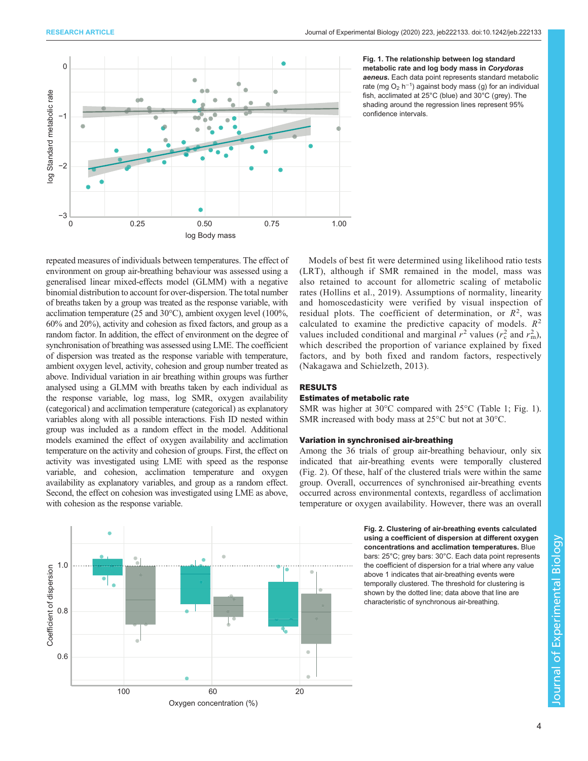<span id="page-3-0"></span>

Fig. 1. The relationship between log standard metabolic rate and log body mass in Corydoras aeneus. Each data point represents standard metabolic rate (mg O<sub>2</sub> h<sup>-1</sup>) against body mass (g) for an individual fish, acclimated at 25°C (blue) and 30°C (grey). The shading around the regression lines represent 95% confidence intervals.

repeated measures of individuals between temperatures. The effect of environment on group air-breathing behaviour was assessed using a generalised linear mixed-effects model (GLMM) with a negative binomial distribution to account for over-dispersion. The total number of breaths taken by a group was treated as the response variable, with acclimation temperature (25 and 30°C), ambient oxygen level (100%, 60% and 20%), activity and cohesion as fixed factors, and group as a random factor. In addition, the effect of environment on the degree of synchronisation of breathing was assessed using LME. The coefficient of dispersion was treated as the response variable with temperature, ambient oxygen level, activity, cohesion and group number treated as above. Individual variation in air breathing within groups was further analysed using a GLMM with breaths taken by each individual as the response variable, log mass, log SMR, oxygen availability (categorical) and acclimation temperature (categorical) as explanatory variables along with all possible interactions. Fish ID nested within group was included as a random effect in the model. Additional models examined the effect of oxygen availability and acclimation temperature on the activity and cohesion of groups. First, the effect on activity was investigated using LME with speed as the response variable, and cohesion, acclimation temperature and oxygen availability as explanatory variables, and group as a random effect. Second, the effect on cohesion was investigated using LME as above, with cohesion as the response variable.



Models of best fit were determined using likelihood ratio tests (LRT), although if SMR remained in the model, mass was also retained to account for allometric scaling of metabolic rates [\(Hollins et al., 2019\)](#page-7-0). Assumptions of normality, linearity and homoscedasticity were verified by visual inspection of residual plots. The coefficient of determination, or  $R^2$ , was calculated to examine the predictive capacity of models.  $R^2$ values included conditional and marginal  $r^2$  values ( $r_c^2$  and  $r_m^2$ ), which described the proportion of variance explained by fixed factors, and by both fixed and random factors, respectively [\(Nakagawa and Schielzeth, 2013](#page-8-0)).

#### RESULTS

## Estimates of metabolic rate

SMR was higher at 30°C compared with 25°C [\(Table 1](#page-2-0); Fig. 1). SMR increased with body mass at 25°C but not at 30°C.

#### Variation in synchronised air-breathing

Among the 36 trials of group air-breathing behaviour, only six indicated that air-breathing events were temporally clustered (Fig. 2). Of these, half of the clustered trials were within the same group. Overall, occurrences of synchronised air-breathing events occurred across environmental contexts, regardless of acclimation temperature or oxygen availability. However, there was an overall

> Fig. 2. Clustering of air-breathing events calculated using a coefficient of dispersion at different oxygen concentrations and acclimation temperatures. Blue bars: 25°C; grey bars: 30°C. Each data point represents the coefficient of dispersion for a trial where any value above 1 indicates that air-breathing events were temporally clustered. The threshold for clustering is shown by the dotted line; data above that line are characteristic of synchronous air-breathing.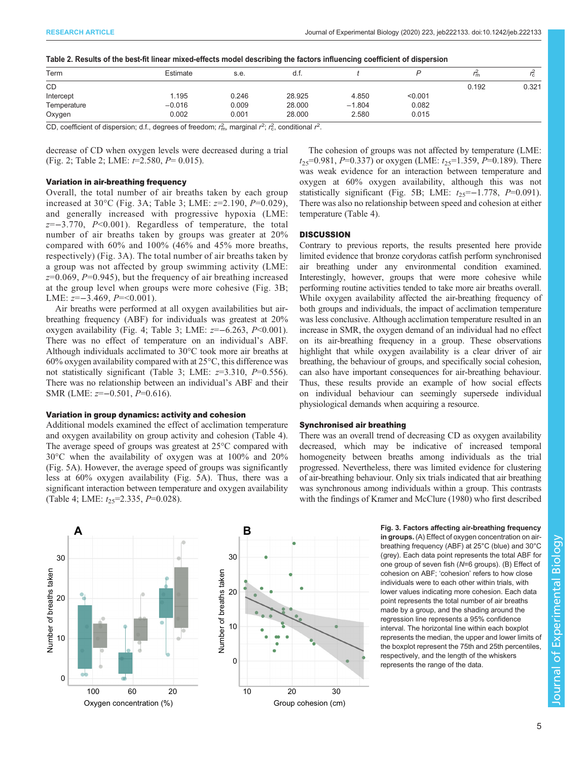|  |  |  |  | Table 2. Results of the best-fit linear mixed-effects model describing the factors influencing coefficient of dispersion |
|--|--|--|--|--------------------------------------------------------------------------------------------------------------------------|
|--|--|--|--|--------------------------------------------------------------------------------------------------------------------------|

| Term        | Estimate                                                                                                                                                                                                                                                                                                                                                                             | s.e.  | d.t.   |          |         | $^{\prime}$ m | $^{\prime}$ C |
|-------------|--------------------------------------------------------------------------------------------------------------------------------------------------------------------------------------------------------------------------------------------------------------------------------------------------------------------------------------------------------------------------------------|-------|--------|----------|---------|---------------|---------------|
| CD          |                                                                                                                                                                                                                                                                                                                                                                                      |       |        |          |         | 0.192         | 0.321         |
| Intercept   | 1.195                                                                                                                                                                                                                                                                                                                                                                                | 0.246 | 28.925 | 4.850    | < 0.001 |               |               |
| Temperature | $-0.016$                                                                                                                                                                                                                                                                                                                                                                             | 0.009 | 28.000 | $-1.804$ | 0.082   |               |               |
| Oxygen      | 0.002                                                                                                                                                                                                                                                                                                                                                                                | 0.001 | 28.000 | 2.580    | 0.015   |               |               |
|             | $\overline{a}$ $\overline{b}$ $\overline{c}$ $\overline{c}$ $\overline{c}$ $\overline{c}$ $\overline{c}$ $\overline{c}$ $\overline{c}$ $\overline{c}$ $\overline{c}$ $\overline{c}$ $\overline{c}$ $\overline{c}$ $\overline{c}$ $\overline{c}$ $\overline{c}$ $\overline{c}$ $\overline{c}$ $\overline{c}$ $\overline{c}$ $\overline{c}$ $\overline{c}$ $\overline{c}$ $\overline{$ |       |        |          |         |               |               |

CD, coefficient of dispersion; d.f., degrees of freedom;  $r_{\rm m}^2$ , marginal  $r^2$ ;  $r_{\rm c}^2$ , conditional  $r^2$ .

decrease of CD when oxygen levels were decreased during a trial [\(Fig. 2](#page-3-0); Table 2; LME:  $t=2.580$ ,  $P= 0.015$ ).

## Variation in air-breathing frequency

Overall, the total number of air breaths taken by each group increased at 30 $^{\circ}$ C (Fig. 3A; [Table 3;](#page-5-0) LME:  $z=2.190, P=0.029$ ), and generally increased with progressive hypoxia (LME:  $z=-3.770$ ,  $P<0.001$ ). Regardless of temperature, the total number of air breaths taken by groups was greater at 20% compared with 60% and 100% (46% and 45% more breaths, respectively) (Fig. 3A). The total number of air breaths taken by a group was not affected by group swimming activity (LME:  $z=0.069$ ,  $P=0.945$ ), but the frequency of air breathing increased at the group level when groups were more cohesive (Fig. 3B; LME:  $z=-3.469$ ,  $P=<0.001$ ).

Air breaths were performed at all oxygen availabilities but airbreathing frequency (ABF) for individuals was greatest at 20% oxygen availability [\(Fig. 4](#page-5-0); [Table 3](#page-5-0); LME:  $z=-6.263$ ,  $P<0.001$ ). There was no effect of temperature on an individual's ABF. Although individuals acclimated to 30°C took more air breaths at  $60\%$  oxygen availability compared with at  $25\degree C$ , this difference was not statistically significant [\(Table 3;](#page-5-0) LME:  $z=3.310$ ,  $P=0.556$ ). There was no relationship between an individual's ABF and their SMR (LME:  $z=-0.501, P=0.616$ ).

#### Variation in group dynamics: activity and cohesion

Additional models examined the effect of acclimation temperature and oxygen availability on group activity and cohesion [\(Table 4\)](#page-6-0). The average speed of groups was greatest at 25°C compared with 30°C when the availability of oxygen was at 100% and 20% [\(Fig. 5](#page-6-0)A). However, the average speed of groups was significantly less at 60% oxygen availability [\(Fig. 5](#page-6-0)A). Thus, there was a significant interaction between temperature and oxygen availability [\(Table 4;](#page-6-0) LME:  $t_{25}$ =2.335, P=0.028).

The cohesion of groups was not affected by temperature (LME:  $t_{25}=0.981, P=0.337$  or oxygen (LME:  $t_{25}=1.359, P=0.189$ ). There was weak evidence for an interaction between temperature and oxygen at 60% oxygen availability, although this was not statistically significant ([Fig. 5](#page-6-0)B; LME:  $t_{25}=-1.778$ ,  $P=0.091$ ). There was also no relationship between speed and cohesion at either temperature ([Table 4\)](#page-6-0).

## **DISCUSSION**

Contrary to previous reports, the results presented here provide limited evidence that bronze corydoras catfish perform synchronised air breathing under any environmental condition examined. Interestingly, however, groups that were more cohesive while performing routine activities tended to take more air breaths overall. While oxygen availability affected the air-breathing frequency of both groups and individuals, the impact of acclimation temperature was less conclusive. Although acclimation temperature resulted in an increase in SMR, the oxygen demand of an individual had no effect on its air-breathing frequency in a group. These observations highlight that while oxygen availability is a clear driver of air breathing, the behaviour of groups, and specifically social cohesion, can also have important consequences for air-breathing behaviour. Thus, these results provide an example of how social effects on individual behaviour can seemingly supersede individual physiological demands when acquiring a resource.

#### Synchronised air breathing

There was an overall trend of decreasing CD as oxygen availability decreased, which may be indicative of increased temporal homogeneity between breaths among individuals as the trial progressed. Nevertheless, there was limited evidence for clustering of air-breathing behaviour. Only six trials indicated that air breathing was synchronous among individuals within a group. This contrasts with the findings of [Kramer and McClure \(1980\)](#page-7-0) who first described

**A B** 30 Number of breaths taken Number of breaths taken Number of breaths taken Number of breaths taken 20 10 0 100 60 Oxygen concentration (%)



Fig. 3. Factors affecting air-breathing frequency in groups. (A) Effect of oxygen concentration on airbreathing frequency (ABF) at 25°C (blue) and 30°C (grey). Each data point represents the total ABF for one group of seven fish (N=6 groups). (B) Effect of cohesion on ABF; 'cohesion' refers to how close individuals were to each other within trials, with lower values indicating more cohesion. Each data point represents the total number of air breaths made by a group, and the shading around the regression line represents a 95% confidence interval. The horizontal line within each boxplot represents the median, the upper and lower limits of the boxplot represent the 75th and 25th percentiles, respectively, and the length of the whiskers represents the range of the data.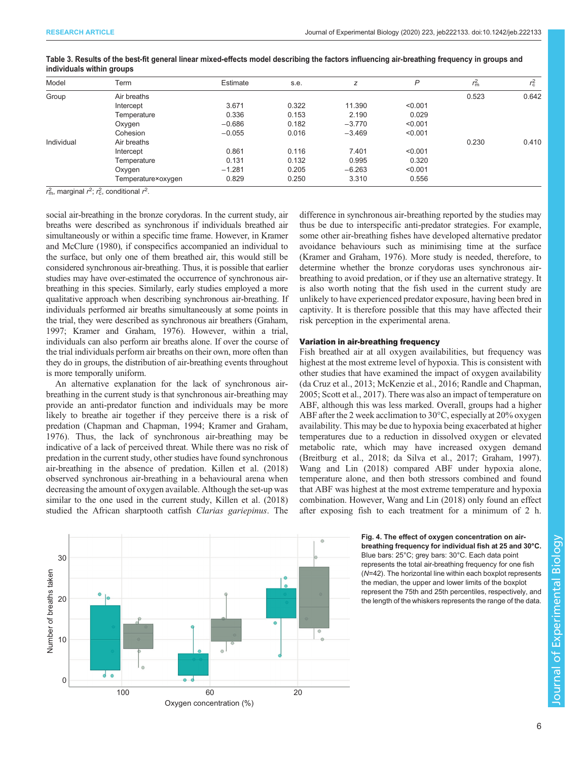| Model      | Term               | Estimate | s.e.  | z        | P       | $r_{\rm m}^2$ | $r_{\rm c}^2$ |
|------------|--------------------|----------|-------|----------|---------|---------------|---------------|
| Group      | Air breaths        |          |       |          |         | 0.523         | 0.642         |
|            | Intercept          | 3.671    | 0.322 | 11.390   | < 0.001 |               |               |
|            | Temperature        | 0.336    | 0.153 | 2.190    | 0.029   |               |               |
|            | Oxygen             | $-0.686$ | 0.182 | $-3.770$ | < 0.001 |               |               |
|            | Cohesion           | $-0.055$ | 0.016 | $-3.469$ | < 0.001 |               |               |
| Individual | Air breaths        |          |       |          |         | 0.230         | 0.410         |
|            | Intercept          | 0.861    | 0.116 | 7.401    | < 0.001 |               |               |
|            | Temperature        | 0.131    | 0.132 | 0.995    | 0.320   |               |               |
|            | Oxygen             | $-1.281$ | 0.205 | $-6.263$ | < 0.001 |               |               |
|            | Temperature×oxygen | 0.829    | 0.250 | 3.310    | 0.556   |               |               |

#### <span id="page-5-0"></span>Table 3. Results of the best-fit general linear mixed-effects model describing the factors influencing air-breathing frequency in groups and individuals within groups

 $r_{\rm m}^2$ , marginal  $r^2$ ;  $r_{\rm c}^2$ , conditional  $r^2$ .

social air-breathing in the bronze corydoras. In the current study, air breaths were described as synchronous if individuals breathed air simultaneously or within a specific time frame. However, in [Kramer](#page-7-0) [and McClure \(1980\)](#page-7-0), if conspecifics accompanied an individual to the surface, but only one of them breathed air, this would still be considered synchronous air-breathing. Thus, it is possible that earlier studies may have over-estimated the occurrence of synchronous airbreathing in this species. Similarly, early studies employed a more qualitative approach when describing synchronous air-breathing. If individuals performed air breaths simultaneously at some points in the trial, they were described as synchronous air breathers [\(Graham,](#page-7-0) [1997; Kramer and Graham, 1976\)](#page-7-0). However, within a trial, individuals can also perform air breaths alone. If over the course of the trial individuals perform air breaths on their own, more often than they do in groups, the distribution of air-breathing events throughout is more temporally uniform.

An alternative explanation for the lack of synchronous airbreathing in the current study is that synchronous air-breathing may provide an anti-predator function and individuals may be more likely to breathe air together if they perceive there is a risk of predation [\(Chapman and Chapman, 1994; Kramer and Graham,](#page-7-0) [1976](#page-7-0)). Thus, the lack of synchronous air-breathing may be indicative of a lack of perceived threat. While there was no risk of predation in the current study, other studies have found synchronous air-breathing in the absence of predation. [Killen et al. \(2018\)](#page-7-0) observed synchronous air-breathing in a behavioural arena when decreasing the amount of oxygen available. Although the set-up was similar to the one used in the current study, [Killen et al. \(2018\)](#page-7-0) studied the African sharptooth catfish Clarias gariepinus. The

difference in synchronous air-breathing reported by the studies may thus be due to interspecific anti-predator strategies. For example, some other air-breathing fishes have developed alternative predator avoidance behaviours such as minimising time at the surface [\(Kramer and Graham, 1976\)](#page-7-0). More study is needed, therefore, to determine whether the bronze corydoras uses synchronous airbreathing to avoid predation, or if they use an alternative strategy. It is also worth noting that the fish used in the current study are unlikely to have experienced predator exposure, having been bred in captivity. It is therefore possible that this may have affected their risk perception in the experimental arena.

#### Variation in air-breathing frequency

Fish breathed air at all oxygen availabilities, but frequency was highest at the most extreme level of hypoxia. This is consistent with other studies that have examined the impact of oxygen availability [\(da Cruz et al., 2013](#page-7-0); [McKenzie et al., 2016;](#page-7-0) [Randle and Chapman,](#page-8-0) [2005; Scott et al., 2017](#page-8-0)). There was also an impact of temperature on ABF, although this was less marked. Overall, groups had a higher ABF after the 2 week acclimation to 30°C, especially at 20% oxygen availability. This may be due to hypoxia being exacerbated at higher temperatures due to a reduction in dissolved oxygen or elevated metabolic rate, which may have increased oxygen demand [\(Breitburg et al., 2018; da Silva et al., 2017; Graham, 1997\)](#page-7-0). [Wang and Lin \(2018\)](#page-8-0) compared ABF under hypoxia alone, temperature alone, and then both stressors combined and found that ABF was highest at the most extreme temperature and hypoxia combination. However, [Wang and Lin \(2018\)](#page-8-0) only found an effect after exposing fish to each treatment for a minimum of 2 h.



#### Fig. 4. The effect of oxygen concentration on airbreathing frequency for individual fish at 25 and 30°C. Blue bars: 25°C; grey bars: 30°C. Each data point represents the total air-breathing frequency for one fish (N=42). The horizontal line within each boxplot represents the median, the upper and lower limits of the boxplot represent the 75th and 25th percentiles, respectively, and the length of the whiskers represents the range of the data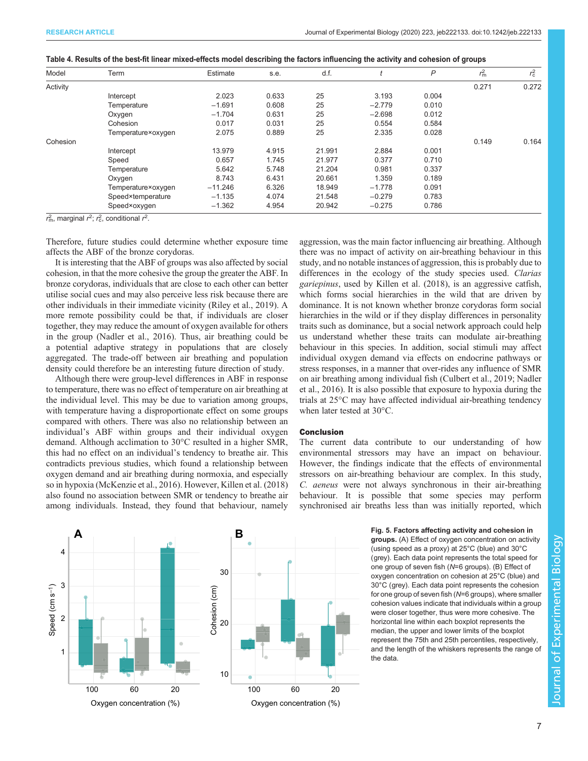| Model    | Term               | Estimate  | s.e.  | d.f.   |          | P     | $r_{\rm m}^2$ | $r_{\rm c}^2$ |
|----------|--------------------|-----------|-------|--------|----------|-------|---------------|---------------|
| Activity |                    |           |       |        |          |       | 0.271         | 0.272         |
|          | Intercept          | 2.023     | 0.633 | 25     | 3.193    | 0.004 |               |               |
|          | Temperature        | $-1.691$  | 0.608 | 25     | $-2.779$ | 0.010 |               |               |
|          | Oxygen             | $-1.704$  | 0.631 | 25     | $-2.698$ | 0.012 |               |               |
|          | Cohesion           | 0.017     | 0.031 | 25     | 0.554    | 0.584 |               |               |
|          | Temperature×oxygen | 2.075     | 0.889 | 25     | 2.335    | 0.028 |               |               |
| Cohesion |                    |           |       |        |          |       | 0.149         | 0.164         |
|          | Intercept          | 13.979    | 4.915 | 21.991 | 2.884    | 0.001 |               |               |
|          | Speed              | 0.657     | 1.745 | 21.977 | 0.377    | 0.710 |               |               |
|          | Temperature        | 5.642     | 5.748 | 21.204 | 0.981    | 0.337 |               |               |
|          | Oxygen             | 8.743     | 6.431 | 20.661 | 1.359    | 0.189 |               |               |
|          | Temperature×oxygen | $-11.246$ | 6.326 | 18.949 | $-1.778$ | 0.091 |               |               |
|          | Speed×temperature  | $-1.135$  | 4.074 | 21.548 | $-0.279$ | 0.783 |               |               |
|          | Speed×oxygen       | $-1.362$  | 4.954 | 20.942 | $-0.275$ | 0.786 |               |               |

<span id="page-6-0"></span>

| Table 4. Results of the best-fit linear mixed-effects model describing the factors influencing the activity and cohesion of groups |  |  |  |
|------------------------------------------------------------------------------------------------------------------------------------|--|--|--|
|                                                                                                                                    |  |  |  |
|                                                                                                                                    |  |  |  |
|                                                                                                                                    |  |  |  |
|                                                                                                                                    |  |  |  |

 $r_{\rm m}^2$ , marginal  $r^2$ ;  $r_{\rm c}^2$ , conditional  $r^2$ .

Therefore, future studies could determine whether exposure time affects the ABF of the bronze corydoras.

It is interesting that the ABF of groups was also affected by social cohesion, in that the more cohesive the group the greater the ABF. In bronze corydoras, individuals that are close to each other can better utilise social cues and may also perceive less risk because there are other individuals in their immediate vicinity [\(Riley et al., 2019](#page-8-0)). A more remote possibility could be that, if individuals are closer together, they may reduce the amount of oxygen available for others in the group ([Nadler et al., 2016](#page-8-0)). Thus, air breathing could be a potential adaptive strategy in populations that are closely aggregated. The trade-off between air breathing and population density could therefore be an interesting future direction of study.

Although there were group-level differences in ABF in response to temperature, there was no effect of temperature on air breathing at the individual level. This may be due to variation among groups, with temperature having a disproportionate effect on some groups compared with others. There was also no relationship between an individual's ABF within groups and their individual oxygen demand. Although acclimation to 30°C resulted in a higher SMR, this had no effect on an individual's tendency to breathe air. This contradicts previous studies, which found a relationship between oxygen demand and air breathing during normoxia, and especially so in hypoxia ([McKenzie et al., 2016\)](#page-7-0). However, [Killen et al. \(2018\)](#page-7-0) also found no association between SMR or tendency to breathe air among individuals. Instead, they found that behaviour, namely aggression, was the main factor influencing air breathing. Although there was no impact of activity on air-breathing behaviour in this study, and no notable instances of aggression, this is probably due to differences in the ecology of the study species used. Clarias gariepinus, used by [Killen et al. \(2018\)](#page-7-0), is an aggressive catfish, which forms social hierarchies in the wild that are driven by dominance. It is not known whether bronze corydoras form social hierarchies in the wild or if they display differences in personality traits such as dominance, but a social network approach could help us understand whether these traits can modulate air-breathing behaviour in this species. In addition, social stimuli may affect individual oxygen demand via effects on endocrine pathways or stress responses, in a manner that over-rides any influence of SMR on air breathing among individual fish [\(Culbert et al., 2019;](#page-7-0) [Nadler](#page-8-0) [et al., 2016](#page-8-0)). It is also possible that exposure to hypoxia during the trials at 25°C may have affected individual air-breathing tendency when later tested at 30°C.

#### Conclusion

The current data contribute to our understanding of how environmental stressors may have an impact on behaviour. However, the findings indicate that the effects of environmental stressors on air-breathing behaviour are complex. In this study, C. aeneus were not always synchronous in their air-breathing behaviour. It is possible that some species may perform synchronised air breaths less than was initially reported, which



groups. (A) Effect of oxygen concentration on activity (using speed as a proxy) at 25°C (blue) and 30°C (grey). Each data point represents the total speed for one group of seven fish (N=6 groups). (B) Effect of oxygen concentration on cohesion at 25°C (blue) and 30°C (grey). Each data point represents the cohesion for one group of seven fish (N=6 groups), where smaller cohesion values indicate that individuals within a group were closer together, thus were more cohesive. The horizontal line within each boxplot represents the median, the upper and lower limits of the boxplot represent the 75th and 25th percentiles, respectively, and the length of the whiskers represents the range of the data.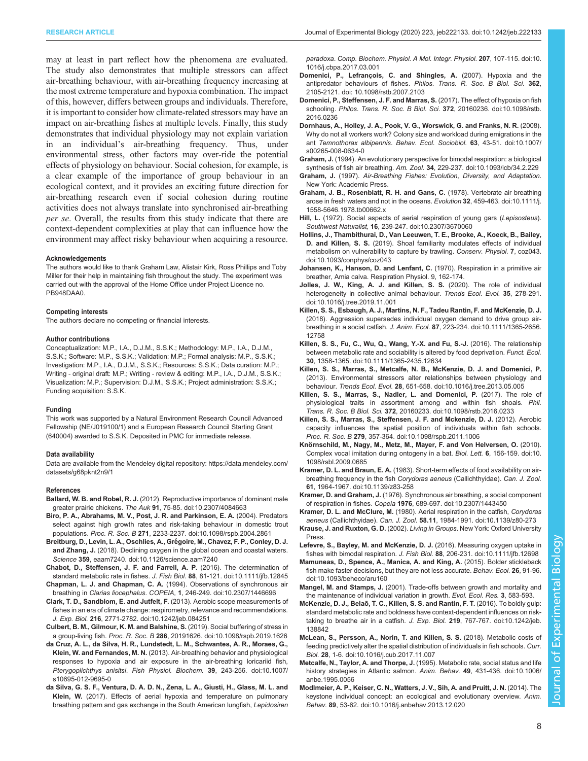<span id="page-7-0"></span>may at least in part reflect how the phenomena are evaluated. The study also demonstrates that multiple stressors can affect air-breathing behaviour, with air-breathing frequency increasing at the most extreme temperature and hypoxia combination. The impact of this, however, differs between groups and individuals. Therefore, it is important to consider how climate-related stressors may have an impact on air-breathing fishes at multiple levels. Finally, this study demonstrates that individual physiology may not explain variation in an individual's air-breathing frequency. Thus, under environmental stress, other factors may over-ride the potential effects of physiology on behaviour. Social cohesion, for example, is a clear example of the importance of group behaviour in an ecological context, and it provides an exciting future direction for air-breathing research even if social cohesion during routine activities does not always translate into synchronised air-breathing per se. Overall, the results from this study indicate that there are context-dependent complexities at play that can influence how the environment may affect risky behaviour when acquiring a resource.

#### Acknowledgements

The authors would like to thank Graham Law, Alistair Kirk, Ross Phillips and Toby Miller for their help in maintaining fish throughout the study. The experiment was carried out with the approval of the Home Office under Project Licence no. PB948DAA0.

#### Competing interests

The authors declare no competing or financial interests.

#### Author contributions

Conceptualization: M.P., I.A., D.J.M., S.S.K.; Methodology: M.P., I.A., D.J.M., S.S.K.; Software: M.P., S.S.K.; Validation: M.P.; Formal analysis: M.P., S.S.K.; Investigation: M.P., I.A., D.J.M., S.S.K.; Resources: S.S.K.; Data curation: M.P.; Writing - original draft: M.P.; Writing - review & editing: M.P., I.A., D.J.M., S.S.K.; Visualization: M.P.; Supervision: D.J.M., S.S.K.; Project administration: S.S.K.; Funding acquisition: S.S.K.

#### Funding

This work was supported by a Natural Environment Research Council Advanced Fellowship (NE/J019100/1) and a European Research Council Starting Grant (640004) awarded to S.S.K. Deposited in PMC for immediate release.

#### Data availability

Data are available from the Mendeley digital repository: [https://data.mendeley.com/](https://data.mendeley.com/datasets/g68pknt2n9/1) [datasets/g68pknt2n9/1](https://data.mendeley.com/datasets/g68pknt2n9/1)

#### References

- Ballard, W. B. and Robel, R. J. [\(2012\). Reproductive importance of dominant male](https://doi.org/10.2307/4084663) greater prairie chickens. The Auk 91[, 75-85. doi:10.2307/4084663](https://doi.org/10.2307/4084663)
- [Biro, P. A., Abrahams, M. V., Post, J. R. and Parkinson, E. A.](https://doi.org/10.1098/rspb.2004.2861) (2004). Predators [select against high growth rates and risk-taking behaviour in domestic trout](https://doi.org/10.1098/rspb.2004.2861) populations. Proc. R. Soc. B 271[, 2233-2237. doi:10.1098/rspb.2004.2861](https://doi.org/10.1098/rspb.2004.2861)
- Breitburg, D., Levin, L. A., Oschlies, A., Grégoire, M., Chavez, F. P., Conley, D. J. and Zhang, J. [\(2018\). Declining oxygen in the global ocean and coastal waters.](https://doi.org/10.1126/science.aam7240) Science 359[, eaam7240. doi:10.1126/science.aam7240](https://doi.org/10.1126/science.aam7240)
- [Chabot, D., Steffensen, J. F. and Farrell, A. P.](https://doi.org/10.1111/jfb.12845) (2016). The determination of [standard metabolic rate in fishes.](https://doi.org/10.1111/jfb.12845) J. Fish Biol. 88, 81-121. doi:10.1111/jfb.12845 Chapman, L. J. and Chapman, C. A. [\(1994\). Observations of synchronous air](https://doi.org/10.2307/1446696)
- breathing in Clarias liocephalus. COPEIA, 1[, 246-249. doi:10.2307/1446696](https://doi.org/10.2307/1446696)
- [Clark, T. D., Sandblom, E. and Jutfelt, F.](https://doi.org/10.1242/jeb.084251) (2013). Aerobic scope measurements of [fishes in an era of climate change: respirometry, relevance and recommendations.](https://doi.org/10.1242/jeb.084251) J. Exp. Biol. 216[, 2771-2782. doi:10.1242/jeb.084251](https://doi.org/10.1242/jeb.084251)
- [Culbert, B. M., Gilmour, K. M. and Balshine, S.](https://doi.org/10.1098/rspb.2019.1626) (2019). Social buffering of stress in a group-living fish. Proc. R. Soc. B 286[, 20191626. doi:10.1098/rspb.2019.1626](https://doi.org/10.1098/rspb.2019.1626)
- [da Cruz, A. L., da Silva, H. R., Lundstedt, L. M., Schwantes, A. R., Moraes, G.,](https://doi.org/10.1007/s10695-012-9695-0) Klein, W. and Fernandes, M. N. [\(2013\). Air-breathing behavior and physiological](https://doi.org/10.1007/s10695-012-9695-0) [responses to hypoxia and air exposure in the air-breathing loricariid fish,](https://doi.org/10.1007/s10695-012-9695-0) [Pterygoplichthys anisitsi](https://doi.org/10.1007/s10695-012-9695-0). Fish Physiol. Biochem. 39, 243-256. doi:10.1007/ [s10695-012-9695-0](https://doi.org/10.1007/s10695-012-9695-0)
- [da Silva, G. S. F., Ventura, D. A. D. N., Zena, L. A., Giusti, H., Glass, M. L. and](https://doi.org/10.1016/j.cbpa.2017.03.001) Klein, W. [\(2017\). Effects of aerial hypoxia and temperature on pulmonary](https://doi.org/10.1016/j.cbpa.2017.03.001) [breathing pattern and gas exchange in the South American lungfish,](https://doi.org/10.1016/j.cbpa.2017.03.001) Lepidosiren

paradoxa. [Comp. Biochem. Physiol. A Mol. Integr. Physiol.](https://doi.org/10.1016/j.cbpa.2017.03.001) 207, 107-115. doi:10. [1016/j.cbpa.2017.03.001](https://doi.org/10.1016/j.cbpa.2017.03.001)

- [Domenici, P., Lefrançois, C. and Shingles, A.](https://doi.org/10.1098/rstb.2007.2103) (2007). Hypoxia and the antipredator behaviours of fishes. [Philos. Trans. R. Soc. B Biol. Sci.](https://doi.org/10.1098/rstb.2007.2103) 362, [2105-2121. doi: 10.1098/rstb.2007.2103](https://doi.org/10.1098/rstb.2007.2103)
- [Domenici, P., Steffensen, J. F. and Marras, S.](https://doi.org/10.1098/rstb.2016.0236) (2017). The effect of hypoxia on fish schooling. [Philos. Trans. R. Soc. B Biol. Sci.](https://doi.org/10.1098/rstb.2016.0236) 372, 20160236. doi:10.1098/rstb. [2016.0236](https://doi.org/10.1098/rstb.2016.0236)
- [Dornhaus, A., Holley, J. A., Pook, V. G., Worswick, G. and Franks, N. R.](https://doi.org/10.1007/s00265-008-0634-0) (2008). [Why do not all workers work? Colony size and workload during emigrations in the](https://doi.org/10.1007/s00265-008-0634-0) ant [Temnothorax albipennis](https://doi.org/10.1007/s00265-008-0634-0). Behav. Ecol. Sociobiol. 63, 43-51. doi:10.1007/ [s00265-008-0634-0](https://doi.org/10.1007/s00265-008-0634-0)
- Graham, J. [\(1994\). An evolutionary perspective for bimodal respiration: a biological](https://doi.org/10.1093/icb/34.2.229) synthesis of fish air breathing. Am. Zool. 34[, 229-237. doi:10.1093/icb/34.2.229](https://doi.org/10.1093/icb/34.2.229)
- Graham, J. (1997). Air-Breathing Fishes: Evolution, Diversity, and Adaptation. New York: Academic Press.
- [Graham, J. B., Rosenblatt, R. H. and Gans, C.](http://dx.doi.org/10.1111/j.1558-5646.1978.tb00662.x) (1978). Vertebrate air breathing [arose in fresh waters and not in the oceans.](http://dx.doi.org/10.1111/j.1558-5646.1978.tb00662.x) Evolution 32, 459-463. doi:10.1111/j. [1558-5646.1978.tb00662.x](http://dx.doi.org/10.1111/j.1558-5646.1978.tb00662.x)
- Hill, L. [\(1972\). Social aspects of aerial respiration of young gars \(](https://doi.org/10.2307/3670060)Lepisosteus). Southwest Naturalist, 16[, 239-247. doi:10.2307/3670060](https://doi.org/10.2307/3670060)
- [Hollins, J., Thambithurai, D., Van Leeuwen, T. E., Brooke, A., Koeck, B., Bailey,](https://doi.org/10.1093/conphys/coz043) D. and Killen, S. S. [\(2019\). Shoal familiarity modulates effects of individual](https://doi.org/10.1093/conphys/coz043) [metabolism on vulnerability to capture by trawling.](https://doi.org/10.1093/conphys/coz043) Conserv. Physiol. 7, coz043. [doi:10.1093/conphys/coz043](https://doi.org/10.1093/conphys/coz043)
- Johansen, K., Hanson, D. and Lenfant, C. (1970). Respiration in a primitive air breather, Amia calva. Respiration Physiol. 9, 162-174.
- [Jolles, J. W., King, A. J. and Killen, S. S.](https://doi.org/10.1016/j.tree.2019.11.001) (2020). The role of individual [heterogeneity in collective animal behaviour.](https://doi.org/10.1016/j.tree.2019.11.001) Trends Ecol. Evol. 35, 278-291. [doi:10.1016/j.tree.2019.11.001](https://doi.org/10.1016/j.tree.2019.11.001)
- [Killen, S. S., Esbaugh, A. J., Martins, N. F., Tadeu Rantin, F. and McKenzie, D. J.](https://doi.org/10.1111/1365-2656.12758) [\(2018\). Aggression supersedes individual oxygen demand to drive group air](https://doi.org/10.1111/1365-2656.12758)breathing in a social catfish. J. Anim. Ecol. 87[, 223-234. doi:10.1111/1365-2656.](https://doi.org/10.1111/1365-2656.12758) [12758](https://doi.org/10.1111/1365-2656.12758)
- [Killen, S. S., Fu, C., Wu, Q., Wang, Y.-X. and Fu, S.-J.](https://doi.org/10.1111/1365-2435.12634) (2016). The relationship [between metabolic rate and sociability is altered by food deprivation.](https://doi.org/10.1111/1365-2435.12634) Funct. Ecol. 30[, 1358-1365. doi:10.1111/1365-2435.12634](https://doi.org/10.1111/1365-2435.12634)
- [Killen, S. S., Marras, S., Metcalfe, N. B., McKenzie, D. J. and Domenici, P.](https://doi.org/10.1016/j.tree.2013.05.005) [\(2013\). Environmental stressors alter relationships between physiology and](https://doi.org/10.1016/j.tree.2013.05.005) behaviour. Trends Ecol. Evol. 28[, 651-658. doi:10.1016/j.tree.2013.05.005](https://doi.org/10.1016/j.tree.2013.05.005)
- [Killen, S. S., Marras, S., Nadler, L. and Domenici, P.](https://doi.org/10.1098/rstb.2016.0233) (2017). The role of [physiological traits in assortment among and within fish shoals.](https://doi.org/10.1098/rstb.2016.0233) Phil. Trans. R. Soc. B Biol. Sci. 372[, 20160233. doi:10.1098/rstb.2016.0233](https://doi.org/10.1098/rstb.2016.0233)
- [Killen, S. S., Marras, S., Steffensen, J. F. and Mckenzie, D. J.](https://doi.org/10.1098/rspb.2011.1006) (2012). Aerobic [capacity influences the spatial position of individuals within fish schools.](https://doi.org/10.1098/rspb.2011.1006) Proc. R. Soc. B 279[, 357-364. doi:10.1098/rspb.2011.1006](https://doi.org/10.1098/rspb.2011.1006)
- Knö[rnschild, M., Nagy, M., Metz, M., Mayer, F. and Von Helversen, O.](https://doi.org/10.1098/rsbl.2009.0685) (2010). [Complex vocal imitation during ontogeny in a bat.](https://doi.org/10.1098/rsbl.2009.0685) Biol. Lett. 6, 156-159. doi:10. [1098/rsbl.2009.0685](https://doi.org/10.1098/rsbl.2009.0685)
- Kramer, D. L. and Braun, E. A. [\(1983\). Short-term effects of food availability on air](https://doi.org/10.1139/z83-258)[breathing frequency in the fish](https://doi.org/10.1139/z83-258) Corydoras aeneus (Callichthyidae). Can. J. Zool. 61[, 1964-1967. doi:10.1139/z83-258](https://doi.org/10.1139/z83-258)
- Kramer, D. and Graham, J. [\(1976\). Synchronous air breathing, a social component](https://doi.org/10.2307/1443450) of respiration in fishes. Copeia 1976[, 689-697. doi:10.2307/1443450](https://doi.org/10.2307/1443450)
- Kramer, D. L. and McClure, M. [\(1980\). Aerial respiration in the catfish,](https://doi.org/10.1139/z80-273) Corydoras aeneus (Callichthyidae). Can. J. Zool. 58.11[, 1984-1991. doi:10.1139/z80-273](https://doi.org/10.1139/z80-273)
- Krause, J. and Ruxton, G. D. (2002). Living in Groups. New York: Oxford University Press.
- [Lefevre, S., Bayley, M. and McKenzie, D. J.](https://doi.org/10.1111/jfb.12698) (2016). Measuring oxygen uptake in fishes with bimodal respiration. J. Fish Biol. 88[, 206-231. doi:10.1111/jfb.12698](https://doi.org/10.1111/jfb.12698)
- [Mamuneas, D., Spence, A., Manica, A. and King, A.](https://doi.org/10.1093/beheco/aru160) (2015). Bolder stickleback [fish make faster decisions, but they are not less accurate.](https://doi.org/10.1093/beheco/aru160) Behav. Ecol. 26, 91-96. [doi:10.1093/beheco/aru160](https://doi.org/10.1093/beheco/aru160)
- Mangel, M. and Stamps, J. (2001). Trade-offs between growth and mortality and the maintenance of individual variation in growth. Evol. Ecol. Res. 3, 583-593.
- [McKenzie, D. J., Belaõ, T. C., Killen, S. S. and Rantin, F. T.](https://doi.org/10.1242/jeb.138842) (2016). To boldly gulp: [standard metabolic rate and boldness have context-dependent influences on risk](https://doi.org/10.1242/jeb.138842)[taking to breathe air in a catfish.](https://doi.org/10.1242/jeb.138842) J. Exp. Biol. 219, 767-767. doi:10.1242/jeb. [138842](https://doi.org/10.1242/jeb.138842)
- [McLean, S., Persson, A., Norin, T. and Killen, S. S.](https://doi.org/10.1016/j.cub.2017.11.007) (2018). Metabolic costs of [feeding predictively alter the spatial distribution of individuals in fish schools.](https://doi.org/10.1016/j.cub.2017.11.007) Curr. Biol. 28[, 1-6. doi:10.1016/j.cub.2017.11.007](https://doi.org/10.1016/j.cub.2017.11.007)
- Metcalfe, N., Taylor, A. and Thorpe, J. [\(1995\). Metabolic rate, social status and life](https://doi.org/10.1006/anbe.1995.0056) [history strategies in Atlantic salmon.](https://doi.org/10.1006/anbe.1995.0056) Anim. Behav. 49, 431-436. doi:10.1006/ [anbe.1995.0056](https://doi.org/10.1006/anbe.1995.0056)
- [Modlmeier, A. P., Keiser, C. N., Watters, J. V., Sih, A. and Pruitt, J. N.](https://doi.org/10.1016/j.anbehav.2013.12.020) (2014). The [keystone individual concept: an ecological and evolutionary overview.](https://doi.org/10.1016/j.anbehav.2013.12.020) Anim. Behav. 89[, 53-62. doi:10.1016/j.anbehav.2013.12.020](https://doi.org/10.1016/j.anbehav.2013.12.020)